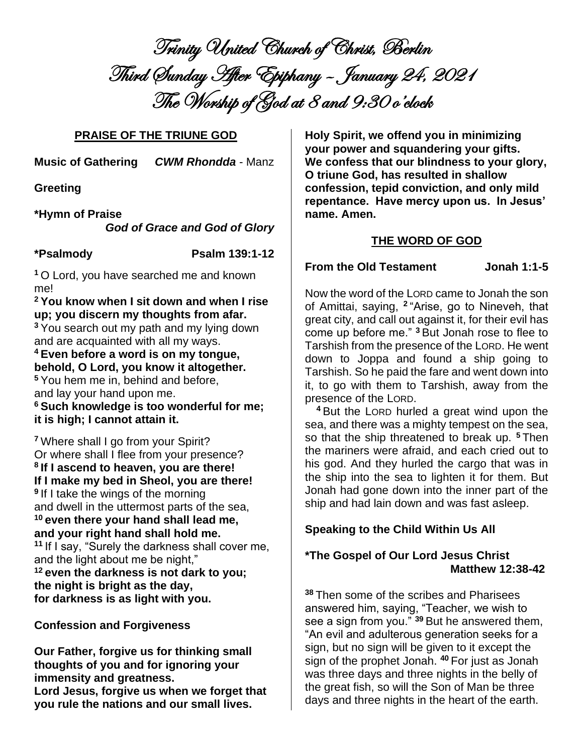Trinity United Church of Christ, Berlin Third Sunday After Epiphany – January 24, 2021 The Worship of God at 8 and 9:30 o'clock

## **PRAISE OF THE TRIUNE GOD**

**Music of Gathering** *CWM Rhondda* - Manz

**Greeting**

## **\*Hymn of Praise**

*God of Grace and God of Glory*

**\*Psalmody Psalm 139:1-12**

**<sup>1</sup>** O Lord, you have searched me and known me!

**<sup>2</sup> You know when I sit down and when I rise up; you discern my thoughts from afar. <sup>3</sup>** You search out my path and my lying down and are acquainted with all my ways.

# **<sup>4</sup> Even before a word is on my tongue, behold, O Lord, you know it altogether.**

**<sup>5</sup>** You hem me in, behind and before, and lay your hand upon me.

**<sup>6</sup> Such knowledge is too wonderful for me; it is high; I cannot attain it.**

**<sup>7</sup>** Where shall I go from your Spirit? Or where shall I flee from your presence? **8 If I ascend to heaven, you are there! If I make my bed in Sheol, you are there! 9** If I take the wings of the morning and dwell in the uttermost parts of the sea, **<sup>10</sup> even there your hand shall lead me, and your right hand shall hold me. <sup>11</sup>** If I say, "Surely the darkness shall cover me, and the light about me be night," **<sup>12</sup> even the darkness is not dark to you; the night is bright as the day, for darkness is as light with you.**

**Confession and Forgiveness**

**Our Father, forgive us for thinking small thoughts of you and for ignoring your immensity and greatness. Lord Jesus, forgive us when we forget that you rule the nations and our small lives.** 

**Holy Spirit, we offend you in minimizing your power and squandering your gifts. We confess that our blindness to your glory, O triune God, has resulted in shallow confession, tepid conviction, and only mild repentance. Have mercy upon us. In Jesus' name. Amen.** 

# **THE WORD OF GOD**

## **From the Old Testament Jonah 1:1-5**

Now the word of the LORD came to Jonah the son of Amittai, saying, **<sup>2</sup>** "Arise, go to Nineveh, that great city, and call out against it, for their evil has come up before me." **<sup>3</sup>** But Jonah rose to flee to Tarshish from the presence of the LORD. He went down to Joppa and found a ship going to Tarshish. So he paid the fare and went down into it, to go with them to Tarshish, away from the presence of the LORD.

**<sup>4</sup>** But the LORD hurled a great wind upon the sea, and there was a mighty tempest on the sea, so that the ship threatened to break up. **<sup>5</sup>** Then the mariners were afraid, and each cried out to his god. And they hurled the cargo that was in the ship into the sea to lighten it for them. But Jonah had gone down into the inner part of the ship and had lain down and was fast asleep.

# **Speaking to the Child Within Us All**

# **\*The Gospel of Our Lord Jesus Christ Matthew 12:38-42**

**<sup>38</sup>** Then some of the scribes and Pharisees answered him, saying, "Teacher, we wish to see a sign from you." **<sup>39</sup>** But he answered them, "An evil and adulterous generation seeks for a sign, but no sign will be given to it except the sign of the prophet Jonah. **<sup>40</sup>** For just as Jonah was three days and three nights in the belly of the great fish, so will the Son of Man be three days and three nights in the heart of the earth.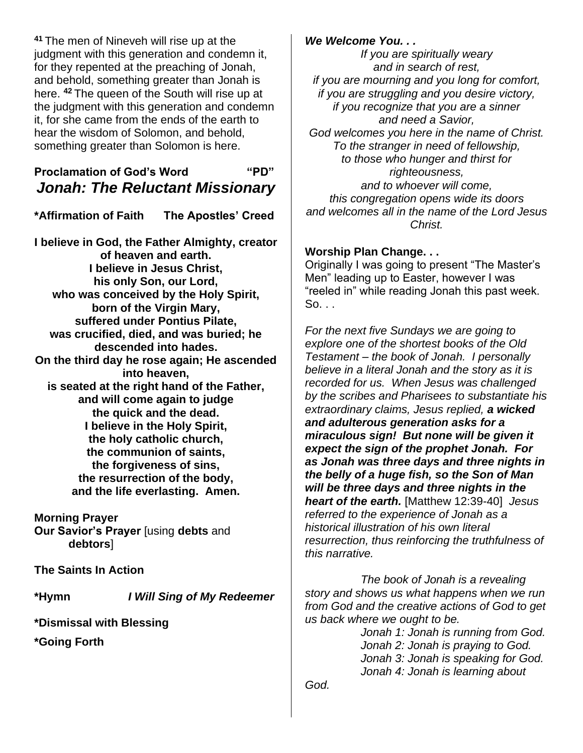**<sup>41</sup>** The men of Nineveh will rise up at the judgment with this generation and condemn it, for they repented at the preaching of Jonah, and behold, something greater than Jonah is here. **<sup>42</sup>** The queen of the South will rise up at the judgment with this generation and condemn it, for she came from the ends of the earth to hear the wisdom of Solomon, and behold, something greater than Solomon is here.

# **Proclamation of God's Word "PD"** *Jonah: The Reluctant Missionary*

**\*Affirmation of Faith The Apostles' Creed**

**I believe in God, the Father Almighty, creator of heaven and earth. I believe in Jesus Christ, his only Son, our Lord, who was conceived by the Holy Spirit, born of the Virgin Mary, suffered under Pontius Pilate, was crucified, died, and was buried; he descended into hades. On the third day he rose again; He ascended into heaven, is seated at the right hand of the Father, and will come again to judge the quick and the dead. I believe in the Holy Spirit, the holy catholic church, the communion of saints, the forgiveness of sins, the resurrection of the body, and the life everlasting. Amen.**

**Morning Prayer Our Savior's Prayer** [using **debts** and **debtors**]

**The Saints In Action**

**\*Hymn** *I Will Sing of My Redeemer*

**\*Dismissal with Blessing**

**\*Going Forth**

## *We Welcome You. . .*

*If you are spiritually weary and in search of rest, if you are mourning and you long for comfort, if you are struggling and you desire victory, if you recognize that you are a sinner and need a Savior, God welcomes you here in the name of Christ. To the stranger in need of fellowship, to those who hunger and thirst for righteousness, and to whoever will come, this congregation opens wide its doors and welcomes all in the name of the Lord Jesus Christ.*

### **Worship Plan Change. . .**

Originally I was going to present "The Master's Men" leading up to Easter, however I was "reeled in" while reading Jonah this past week. So. . .

*For the next five Sundays we are going to explore one of the shortest books of the Old Testament – the book of Jonah. I personally believe in a literal Jonah and the story as it is recorded for us. When Jesus was challenged by the scribes and Pharisees to substantiate his extraordinary claims, Jesus replied, a wicked and adulterous generation asks for a miraculous sign! But none will be given it expect the sign of the prophet Jonah. For as Jonah was three days and three nights in the belly of a huge fish, so the Son of Man will be three days and three nights in the heart of the earth.* [Matthew 12:39-40] *Jesus referred to the experience of Jonah as a historical illustration of his own literal resurrection, thus reinforcing the truthfulness of this narrative.*

*The book of Jonah is a revealing story and shows us what happens when we run from God and the creative actions of God to get us back where we ought to be.*

*Jonah 1: Jonah is running from God. Jonah 2: Jonah is praying to God. Jonah 3: Jonah is speaking for God. Jonah 4: Jonah is learning about* 

*God.*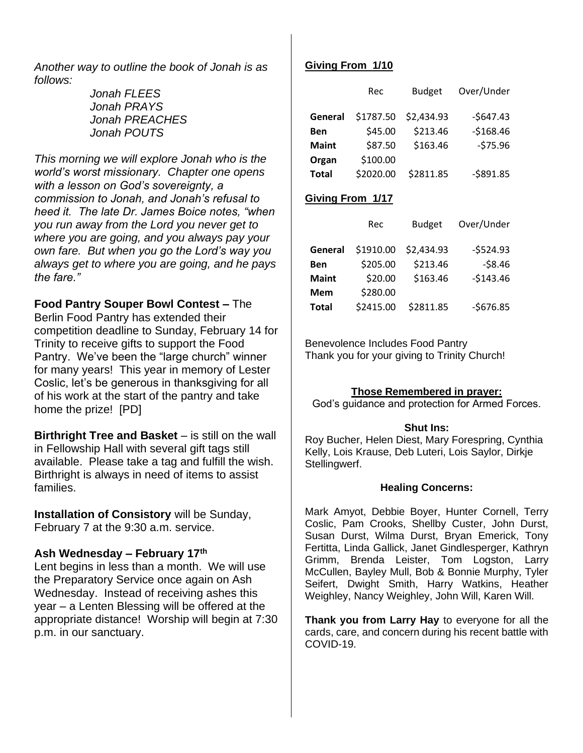*Another way to outline the book of Jonah is as follows:*

> *Jonah FLEES Jonah PRAYS Jonah PREACHES Jonah POUTS*

*This morning we will explore Jonah who is the world's worst missionary. Chapter one opens with a lesson on God's sovereignty, a commission to Jonah, and Jonah's refusal to heed it. The late Dr. James Boice notes, "when you run away from the Lord you never get to where you are going, and you always pay your own fare. But when you go the Lord's way you always get to where you are going, and he pays the fare."*

**Food Pantry Souper Bowl Contest –** The Berlin Food Pantry has extended their competition deadline to Sunday, February 14 for Trinity to receive gifts to support the Food Pantry. We've been the "large church" winner for many years! This year in memory of Lester Coslic, let's be generous in thanksgiving for all of his work at the start of the pantry and take home the prize! [PD]

**Birthright Tree and Basket** – is still on the wall in Fellowship Hall with several gift tags still available. Please take a tag and fulfill the wish. Birthright is always in need of items to assist families.

**Installation of Consistory** will be Sunday, February 7 at the 9:30 a.m. service.

### **Ash Wednesday – February 17th**

Lent begins in less than a month. We will use the Preparatory Service once again on Ash Wednesday. Instead of receiving ashes this year – a Lenten Blessing will be offered at the appropriate distance! Worship will begin at 7:30 p.m. in our sanctuary.

### **Giving From 1/10**

|              | Rec       | <b>Budget</b> | Over/Under |
|--------------|-----------|---------------|------------|
| General      | \$1787.50 | \$2,434.93    | $-$647.43$ |
| <b>Ben</b>   | \$45.00   | \$213.46      | $-5168.46$ |
| <b>Maint</b> | \$87.50   | \$163.46      | $-575.96$  |
| Organ        | \$100.00  |               |            |
| <b>Total</b> | \$2020.00 | \$2811.85     | $-5891.85$ |

### **Giving From 1/17**

|              | Rec       | <b>Budget</b> | Over/Under |
|--------------|-----------|---------------|------------|
| General      | \$1910.00 | \$2,434.93    | $-5524.93$ |
| Ben          | \$205.00  | \$213.46      | $-58.46$   |
| <b>Maint</b> | \$20.00   | \$163.46      | $-5143.46$ |
| <b>Mem</b>   | \$280.00  |               |            |
| <b>Total</b> | \$2415.00 | \$2811.85     | $-$676.85$ |

Benevolence Includes Food Pantry Thank you for your giving to Trinity Church!

#### **Those Remembered in prayer:**

God's guidance and protection for Armed Forces.

#### **Shut Ins:**

Roy Bucher, Helen Diest, Mary Forespring, Cynthia Kelly, Lois Krause, Deb Luteri, Lois Saylor, Dirkje Stellingwerf.

#### **Healing Concerns:**

Mark Amyot, Debbie Boyer, Hunter Cornell, Terry Coslic, Pam Crooks, Shellby Custer, John Durst, Susan Durst, Wilma Durst, Bryan Emerick, Tony Fertitta, Linda Gallick, Janet Gindlesperger, Kathryn Grimm, Brenda Leister, Tom Logston, Larry McCullen, Bayley Mull, Bob & Bonnie Murphy, Tyler Seifert, Dwight Smith, Harry Watkins, Heather Weighley, Nancy Weighley, John Will, Karen Will.

**Thank you from Larry Hay** to everyone for all the cards, care, and concern during his recent battle with COVID-19.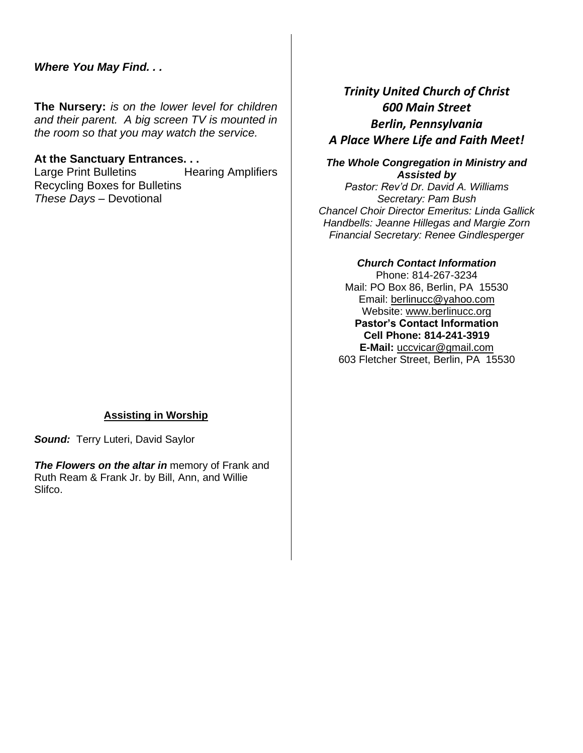## *Where You May Find. . .*

**The Nursery:** *is on the lower level for children and their parent. A big screen TV is mounted in the room so that you may watch the service.*

#### **At the Sanctuary Entrances. . .**

Large Print Bulletins Hearing Amplifiers Recycling Boxes for Bulletins *These Days –* Devotional

### **Assisting in Worship**

*Sound:* Terry Luteri, David Saylor

**The Flowers on the altar in** memory of Frank and Ruth Ream & Frank Jr. by Bill, Ann, and Willie Slifco.

# *Trinity United Church of Christ 600 Main Street Berlin, Pennsylvania A Place Where Life and Faith Meet!*

#### *The Whole Congregation in Ministry and Assisted by*

*Pastor: Rev'd Dr. David A. Williams Secretary: Pam Bush Chancel Choir Director Emeritus: Linda Gallick Handbells: Jeanne Hillegas and Margie Zorn Financial Secretary: Renee Gindlesperger*

#### *Church Contact Information*

Phone: 814-267-3234 Mail: PO Box 86, Berlin, PA 15530 Email: [berlinucc@yahoo.com](mailto:berlinucc@yahoo.com) Website: [www.berlinucc.org](http://www.berlinucc.org/) **Pastor's Contact Information Cell Phone: 814-241-3919 E-Mail:** [uccvicar@gmail.com](mailto:uccvicar@gmail.com) 603 Fletcher Street, Berlin, PA 15530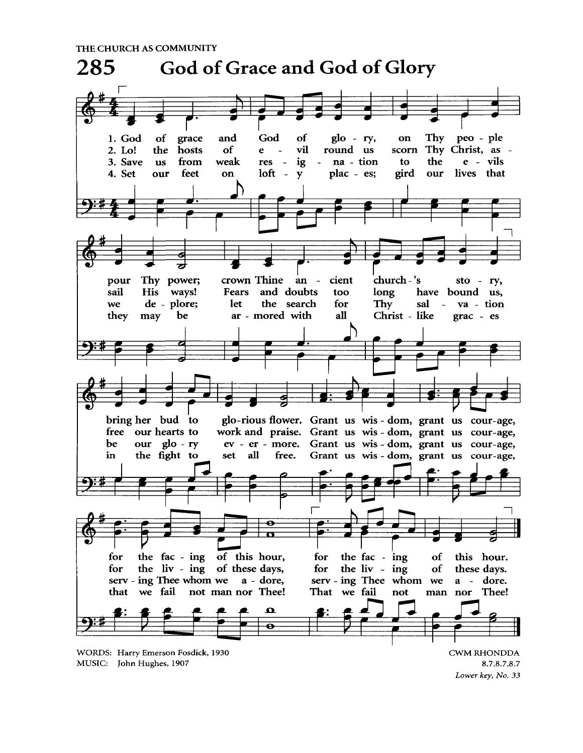THE CHURCH AS COMMUNITY



Lower key, No. 33